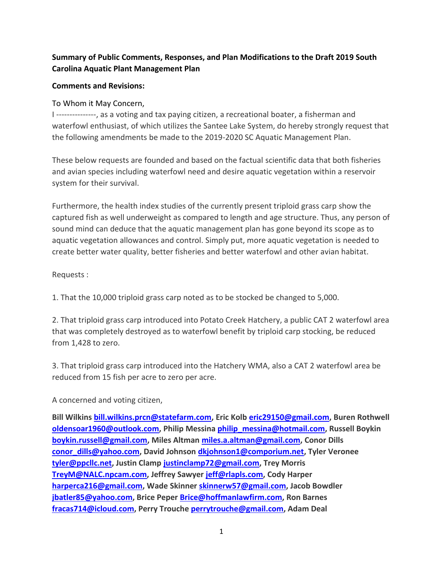# **Summary of Public Comments, Responses, and Plan Modifications to the Draft 2019 South Carolina Aquatic Plant Management Plan**

## **Comments and Revisions:**

## To Whom it May Concern,

I ---------------, as a voting and tax paying citizen, a recreational boater, a fisherman and waterfowl enthusiast, of which utilizes the Santee Lake System, do hereby strongly request that the following amendments be made to the 2019-2020 SC Aquatic Management Plan.

These below requests are founded and based on the factual scientific data that both fisheries and avian species including waterfowl need and desire aquatic vegetation within a reservoir system for their survival.

Furthermore, the health index studies of the currently present triploid grass carp show the captured fish as well underweight as compared to length and age structure. Thus, any person of sound mind can deduce that the aquatic management plan has gone beyond its scope as to aquatic vegetation allowances and control. Simply put, more aquatic vegetation is needed to create better water quality, better fisheries and better waterfowl and other avian habitat.

## Requests :

1. That the 10,000 triploid grass carp noted as to be stocked be changed to 5,000.

2. That triploid grass carp introduced into Potato Creek Hatchery, a public CAT 2 waterfowl area that was completely destroyed as to waterfowl benefit by triploid carp stocking, be reduced from 1,428 to zero.

3. That triploid grass carp introduced into the Hatchery WMA, also a CAT 2 waterfowl area be reduced from 15 fish per acre to zero per acre.

A concerned and voting citizen,

**Bill Wilkin[s bill.wilkins.prcn@statefarm.com,](mailto:bill.wilkins.prcn@statefarm.com) Eric Kolb [eric29150@gmail.com,](mailto:eric29150@gmail.com) Buren Rothwell [oldensoar1960@outlook.com,](mailto:oldensoar1960@outlook.com) Philip Messin[a philip\\_messina@hotmail.com,](mailto:philip_messina@hotmail.com) Russell Boykin [boykin.russell@gmail.com,](mailto:boykin.russell@gmail.com) Miles Altman [miles.a.altman@gmail.com,](mailto:miles.a.altman@gmail.com) Conor Dills [conor\\_dills@yahoo.com,](mailto:conor_dills@yahoo.com) David Johnson [dkjohnson1@comporium.net,](mailto:dkjohnson1@comporium.net) Tyler Veronee [tyler@ppcllc.net,](mailto:tyler@ppcllc.net) Justin Clamp [justinclamp72@gmail.com,](mailto:justinclamp72@gmail.com) Trey Morris [TreyM@NALC.npcam.com,](mailto:TreyM@NALC.npcam.com) Jeffrey Sawyer [jeff@rlapls.com,](mailto:jeff@rlapls.com) Cody Harper [harperca216@gmail.com,](mailto:harperca216@gmail.com) Wade Skinner [skinnerw57@gmail.com,](mailto:skinnerw57@gmail.com) Jacob Bowdler [jbatler85@yahoo.com,](mailto:jbatler85@yahoo.com) Brice Peper [Brice@hoffmanlawfirm.com,](mailto:Brice@hoffmanlawfirm.com) Ron Barnes [fracas714@icloud.com,](mailto:fracas714@icloud.com) Perry Trouche [perrytrouche@gmail.com,](mailto:perrytrouche@gmail.com) Adam Deal**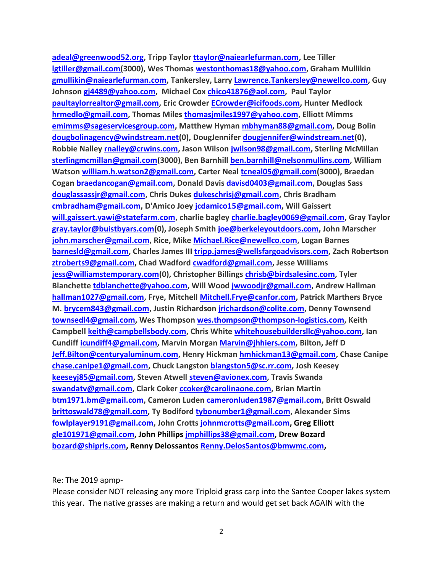**[adeal@greenwood52.org,](mailto:adeal@greenwood52.org) Tripp Taylor [ttaylor@naiearlefurman.com,](mailto:ttaylor@naiearlefurman.com) Lee Tiller [lgtiller@gmail.com\(](mailto:lgtiller@gmail.com))3000), Wes Thomas [westonthomas18@yahoo.com,](mailto:westonthomas18@yahoo.com) Graham Mullikin [gmullikin@naiearlefurman.com,](mailto:gmullikin@naiearlefurman.com) Tankersley, Larry [Lawrence.Tankersley@newellco.com,](mailto:Lawrence.Tankersley@newellco.com) Guy Johnso[n gj4489@yahoo.com,](mailto:gj4489@yahoo.com) Michael Cox [chico41876@aol.com,](mailto:chico41876@aol.com) Paul Taylor [paultaylorrealtor@gmail.com,](mailto:paultaylorrealtor@gmail.com) Eric Crowder [ECrowder@icifoods.com,](mailto:ECrowder@icifoods.com) Hunter Medlock [hrmedlo@gmail.com,](mailto:hrmedlo@gmail.com) Thomas Mile[s thomasjmiles1997@yahoo.com,](mailto:thomasjmiles1997@yahoo.com) Elliott Mimms [emimms@sageservicesgroup.com,](mailto:emimms@sageservicesgroup.com) Matthew Hyman [mbhyman88@gmail.com,](mailto:mbhyman88@gmail.com) Doug Bolin [dougbolinagency@windstream.net\(](mailto:dougbolinagency@windstream.net)0), DougJennifer [dougjennifer@windstream.net\(](mailto:dougjennifer@windstream.net)0), Robbie Nalley [rnalley@crwins.com,](mailto:rnalley@crwins.com) Jason Wilson [jwilson98@gmail.com,](mailto:jwilson98@gmail.com) Sterling McMillan [sterlingmcmillan@gmail.com\(](mailto:sterlingmcmillan@gmail.com)3000), Ben Barnhill [ben.barnhill@nelsonmullins.com,](mailto:ben.barnhill@nelsonmullins.com) William Watson [william.h.watson2@gmail.com,](mailto:william.h.watson2@gmail.com) Carter Neal [tcneal05@gmail.com\(](mailto:tcneal05@gmail.com)3000), Braedan Cogan [braedancogan@gmail.com,](mailto:braedancogan@gmail.com) Donald Davis [davisd0403@gmail.com,](mailto:davisd0403@gmail.com) Douglas Sass [douglassassjr@gmail.com,](mailto:douglassassjr@gmail.com) Chris Dukes [dukeschrisj@gmail.com,](mailto:dukeschrisj@gmail.com) Chris Bradham [cmbradham@gmail.com,](mailto:cmbradham@gmail.com) D'Amico Joe[y jcdamico15@gmail.com,](mailto:jcdamico15@gmail.com) Will Gaissert [will.gaissert.yawi@statefarm.com,](mailto:will.gaissert.yawi@statefarm.com) charlie bagley [charlie.bagley0069@gmail.com,](mailto:charlie.bagley0069@gmail.com) Gray Taylor [gray.taylor@buistbyars.com\(](mailto:gray.taylor@buistbyars.com)0), Joseph Smith [joe@berkeleyoutdoors.com,](mailto:joe@berkeleyoutdoors.com) John Marscher [john.marscher@gmail.com,](mailto:john.marscher@gmail.com) Rice, Mike [Michael.Rice@newellco.com,](mailto:Michael.Rice@newellco.com) Logan Barnes [barnesld@gmail.com,](mailto:barnesld@gmail.com) Charles James III [tripp.james@wellsfargoadvisors.com,](mailto:tripp.james@wellsfargoadvisors.com) Zach Robertson [ztroberts9@gmail.com,](mailto:ztroberts9@gmail.com) Chad Wadford [cwadford@gmail.com,](mailto:cwadford@gmail.com) Jesse Williams [jess@williamstemporary.com\(](mailto:jess@williamstemporary.com)0), Christopher Billings [chrisb@birdsalesinc.com,](mailto:chrisb@birdsalesinc.com) Tyler Blanchett[e tdblanchette@yahoo.com,](mailto:tdblanchette@yahoo.com) Will Wood [jwwoodjr@gmail.com,](mailto:jwwoodjr@gmail.com) Andrew Hallman [hallman1027@gmail.com,](mailto:hallman1027@gmail.com) Frye, Mitchell [Mitchell.Frye@canfor.com,](mailto:Mitchell.Frye@canfor.com) Patrick Marthers Bryce M. [brycem843@gmail.com,](mailto:brycem843@gmail.com) Justin Richardson [jrichardson@colite.com,](mailto:jrichardson@colite.com) Denny Townsend [townsedl4@gmail.com,](mailto:townsedl4@gmail.com) Wes Thompson [wes.thompson@thompson-logistics.com,](mailto:wes.thompson@thompson-logistics.com) Keith Campbell [keith@campbellsbody.com,](mailto:keith@campbellsbody.com) Chris White [whitehousebuildersllc@yahoo.com,](mailto:whitehousebuildersllc@yahoo.com) Ian Cundiff [icundiff4@gmail.com,](mailto:icundiff4@gmail.com) Marvin Morgan [Marvin@jhhiers.com,](mailto:Marvin@jhhiers.com) Bilton, Jeff D [Jeff.Bilton@centuryaluminum.com,](mailto:Jeff.Bilton@centuryaluminum.com) Henry Hickman [hmhickman13@gmail.com,](mailto:hmhickman13@gmail.com) Chase Canipe [chase.canipe1@gmail.com,](mailto:chase.canipe1@gmail.com) Chuck Langston [blangston5@sc.rr.com,](mailto:blangston5@sc.rr.com) Josh Keesey [keeseyj85@gmail.com,](mailto:keeseyj85@gmail.com) Steven Atwell [steven@avionex.com,](mailto:steven@avionex.com) Travis Swanda [swandatv@gmail.com,](mailto:swandatv@gmail.com) Clark Coker [ccoker@carolinaone.com,](mailto:ccoker@carolinaone.com) Brian Martin [btm1971.bm@gmail.com,](mailto:btm1971.bm@gmail.com) Cameron Luden [cameronluden1987@gmail.com,](mailto:cameronluden1987@gmail.com) Britt Oswald [brittoswald78@gmail.com,](mailto:brittoswald78@gmail.com) Ty Bodiford [tybonumber1@gmail.com,](mailto:tybonumber1@gmail.com) Alexander Sims [fowlplayer9191@gmail.com,](mailto:fowlplayer9191@gmail.com) John Crotts [johnmcrotts@gmail.com,](mailto:johnmcrotts@gmail.com) Greg Elliott [gle101971@gmail.com,](mailto:gle101971@gmail.com) John Phillips [jmphillips38@gmail.com,](mailto:jmphillips38@gmail.com) Drew Bozard [bozard@shiprls.com,](mailto:bozard@shiprls.com) Renny Delossantos [Renny.DelosSantos@bmwmc.com,](mailto:Renny.DelosSantos@bmwmc.com)** 

Re: The 2019 apmp-

Please consider NOT releasing any more Triploid grass carp into the Santee Cooper lakes system this year. The native grasses are making a return and would get set back AGAIN with the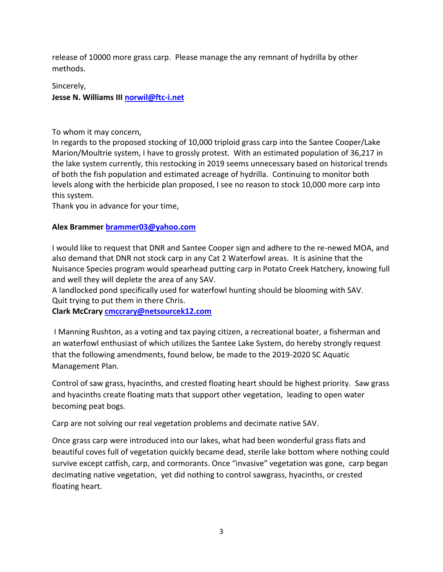release of 10000 more grass carp. Please manage the any remnant of hydrilla by other methods.

Sincerely, **Jesse N. Williams III [norwil@ftc-i.net](mailto:norwil@ftc-i.net)**

To whom it may concern,

In regards to the proposed stocking of 10,000 triploid grass carp into the Santee Cooper/Lake Marion/Moultrie system, I have to grossly protest. With an estimated population of 36,217 in the lake system currently, this restocking in 2019 seems unnecessary based on historical trends of both the fish population and estimated acreage of hydrilla. Continuing to monitor both levels along with the herbicide plan proposed, I see no reason to stock 10,000 more carp into this system.

Thank you in advance for your time,

# **Alex Brammer [brammer03@yahoo.com](mailto:brammer03@yahoo.com)**

I would like to request that DNR and Santee Cooper sign and adhere to the re-newed MOA, and also demand that DNR not stock carp in any Cat 2 Waterfowl areas. It is asinine that the Nuisance Species program would spearhead putting carp in Potato Creek Hatchery, knowing full and well they will deplete the area of any SAV.

A landlocked pond specifically used for waterfowl hunting should be blooming with SAV. Quit trying to put them in there Chris.

**Clark McCrar[y cmccrary@netsourcek12.com](mailto:cmccrary@netsourcek12.com)**

I Manning Rushton, as a voting and tax paying citizen, a recreational boater, a fisherman and an waterfowl enthusiast of which utilizes the Santee Lake System, do hereby strongly request that the following amendments, found below, be made to the 2019-2020 SC Aquatic Management Plan.

Control of saw grass, hyacinths, and crested floating heart should be highest priority. Saw grass and hyacinths create floating mats that support other vegetation, leading to open water becoming peat bogs.

Carp are not solving our real vegetation problems and decimate native SAV.

Once grass carp were introduced into our lakes, what had been wonderful grass flats and beautiful coves full of vegetation quickly became dead, sterile lake bottom where nothing could survive except catfish, carp, and cormorants. Once "invasive" vegetation was gone, carp began decimating native vegetation, yet did nothing to control sawgrass, hyacinths, or crested floating heart.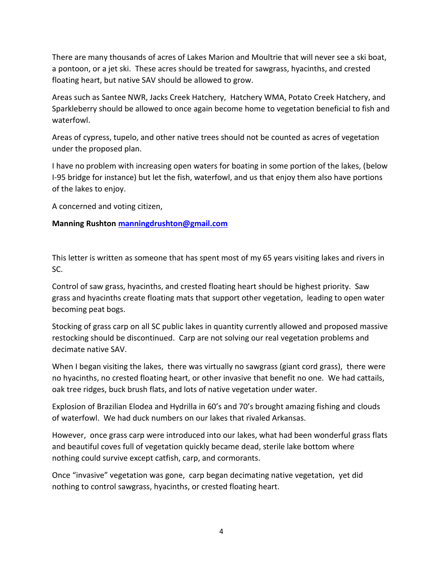There are many thousands of acres of Lakes Marion and Moultrie that will never see a ski boat, a pontoon, or a jet ski. These acres should be treated for sawgrass, hyacinths, and crested floating heart, but native SAV should be allowed to grow.

Areas such as Santee NWR, Jacks Creek Hatchery, Hatchery WMA, Potato Creek Hatchery, and Sparkleberry should be allowed to once again become home to vegetation beneficial to fish and waterfowl.

Areas of cypress, tupelo, and other native trees should not be counted as acres of vegetation under the proposed plan.

I have no problem with increasing open waters for boating in some portion of the lakes, (below I-95 bridge for instance) but let the fish, waterfowl, and us that enjoy them also have portions of the lakes to enjoy.

A concerned and voting citizen,

## **Manning Rushton [manningdrushton@gmail.com](mailto:manningdrushton@gmail.com)**

This letter is written as someone that has spent most of my 65 years visiting lakes and rivers in SC.

Control of saw grass, hyacinths, and crested floating heart should be highest priority. Saw grass and hyacinths create floating mats that support other vegetation, leading to open water becoming peat bogs.

Stocking of grass carp on all SC public lakes in quantity currently allowed and proposed massive restocking should be discontinued. Carp are not solving our real vegetation problems and decimate native SAV.

When I began visiting the lakes, there was virtually no sawgrass (giant cord grass), there were no hyacinths, no crested floating heart, or other invasive that benefit no one. We had cattails, oak tree ridges, buck brush flats, and lots of native vegetation under water.

Explosion of Brazilian Elodea and Hydrilla in 60's and 70's brought amazing fishing and clouds of waterfowl. We had duck numbers on our lakes that rivaled Arkansas.

However, once grass carp were introduced into our lakes, what had been wonderful grass flats and beautiful coves full of vegetation quickly became dead, sterile lake bottom where nothing could survive except catfish, carp, and cormorants.

Once "invasive" vegetation was gone, carp began decimating native vegetation, yet did nothing to control sawgrass, hyacinths, or crested floating heart.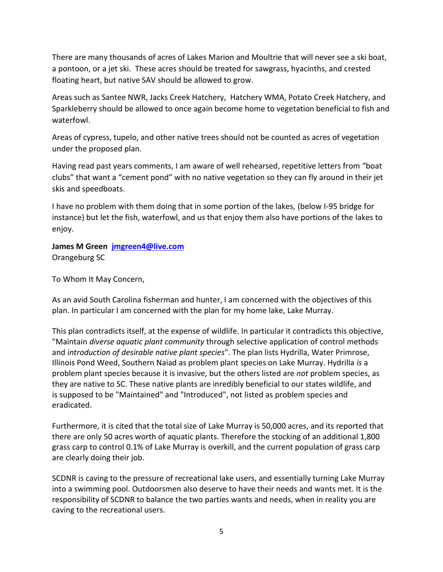There are many thousands of acres of Lakes Marion and Moultrie that will never see a ski boat, a pontoon, or a jet ski. These acres should be treated for sawgrass, hyacinths, and crested floating heart, but native SAV should be allowed to grow.

Areas such as Santee NWR, Jacks Creek Hatchery, Hatchery WMA, Potato Creek Hatchery, and Sparkleberry should be allowed to once again become home to vegetation beneficial to fish and waterfowl.

Areas of cypress, tupelo, and other native trees should not be counted as acres of vegetation under the proposed plan.

Having read past years comments, I am aware of well rehearsed, repetitive letters from "boat clubs" that want a "cement pond" with no native vegetation so they can fly around in their jet skis and speedboats.

I have no problem with them doing that in some portion of the lakes, (below I-95 bridge for instance) but let the fish, waterfowl, and us that enjoy them also have portions of the lakes to enjoy.

**James M Green [jmgreen4@live.com](mailto:jmgreen4@live.com)** Orangeburg SC

To Whom It May Concern,

As an avid South Carolina fisherman and hunter, I am concerned with the objectives of this plan. In particular I am concerned with the plan for my home lake, Lake Murray.

This plan contradicts itself, at the expense of wildlife. In particular it contradicts this objective, "Maintain *diverse aquatic plant community* through selective application of control methods and *introduction of desirable native plant species*". The plan lists Hydrilla, Water Primrose, Illinois Pond Weed, Southern Naiad as problem plant species on Lake Murray. Hydrilla *is* a problem plant species because it is invasive, but the others listed are *not* problem species, as they are native to SC. These native plants are inredibly beneficial to our states wildlife, and is supposed to be "Maintained" and "Introduced", not listed as problem species and eradicated.

Furthermore, it is cited that the total size of Lake Murray is 50,000 acres, and its reported that there are only 50 acres worth of aquatic plants. Therefore the stocking of an additional 1,800 grass carp to control 0.1% of Lake Murray is overkill, and the current population of grass carp are clearly doing their job.

SCDNR is caving to the pressure of recreational lake users, and essentially turning Lake Murray into a swimming pool. Outdoorsmen also deserve to have their needs and wants met. It is the responsibility of SCDNR to balance the two parties wants and needs, when in reality you are caving to the recreational users.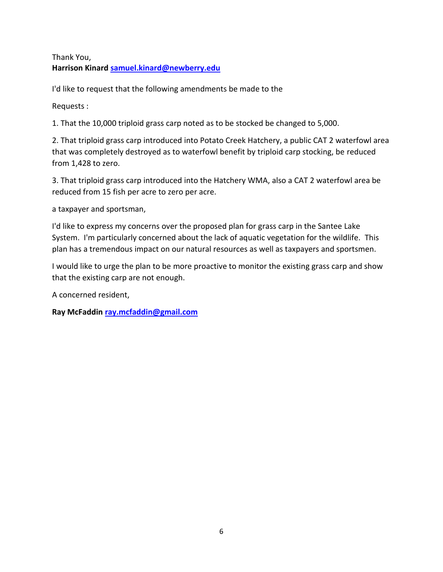Thank You, **Harrison Kinard [samuel.kinard@newberry.edu](mailto:samuel.kinard@newberry.edu)**

I'd like to request that the following amendments be made to the

Requests :

1. That the 10,000 triploid grass carp noted as to be stocked be changed to 5,000.

2. That triploid grass carp introduced into Potato Creek Hatchery, a public CAT 2 waterfowl area that was completely destroyed as to waterfowl benefit by triploid carp stocking, be reduced from 1,428 to zero.

3. That triploid grass carp introduced into the Hatchery WMA, also a CAT 2 waterfowl area be reduced from 15 fish per acre to zero per acre.

a taxpayer and sportsman,

I'd like to express my concerns over the proposed plan for grass carp in the Santee Lake System. I'm particularly concerned about the lack of aquatic vegetation for the wildlife. This plan has a tremendous impact on our natural resources as well as taxpayers and sportsmen.

I would like to urge the plan to be more proactive to monitor the existing grass carp and show that the existing carp are not enough.

A concerned resident,

**Ray McFaddin [ray.mcfaddin@gmail.com](mailto:ray.mcfaddin@gmail.com)**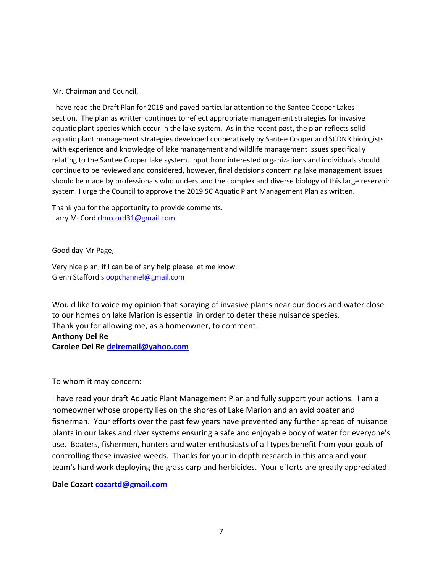#### Mr. Chairman and Council,

I have read the Draft Plan for 2019 and payed particular attention to the Santee Cooper Lakes section. The plan as written continues to reflect appropriate management strategies for invasive aquatic plant species which occur in the lake system. As in the recent past, the plan reflects solid aquatic plant management strategies developed cooperatively by Santee Cooper and SCDNR biologists with experience and knowledge of lake management and wildlife management issues specifically relating to the Santee Cooper lake system. Input from interested organizations and individuals should continue to be reviewed and considered, however, final decisions concerning lake management issues should be made by professionals who understand the complex and diverse biology of this large reservoir system. I urge the Council to approve the 2019 SC Aquatic Plant Management Plan as written.

Thank you for the opportunity to provide comments. Larry McCord [rlmccord31@gmail.com](mailto:rlmccord31@gmail.com)

Good day Mr Page,

Very nice plan, if I can be of any help please let me know. Glenn Staffor[d sloopchannel@gmail.com](mailto:sloopchannel@gmail.com)

Would like to voice my opinion that spraying of invasive plants near our docks and water close to our homes on lake Marion is essential in order to deter these nuisance species. Thank you for allowing me, as a homeowner, to comment. **Anthony Del Re Carolee Del Re [delremail@yahoo.com](mailto:delremail@yahoo.com)**

To whom it may concern:

I have read your draft Aquatic Plant Management Plan and fully support your actions. I am a homeowner whose property lies on the shores of Lake Marion and an avid boater and fisherman. Your efforts over the past few years have prevented any further spread of nuisance plants in our lakes and river systems ensuring a safe and enjoyable body of water for everyone's use. Boaters, fishermen, hunters and water enthusiasts of all types benefit from your goals of controlling these invasive weeds. Thanks for your in-depth research in this area and your team's hard work deploying the grass carp and herbicides. Your efforts are greatly appreciated.

### **Dale Cozart [cozartd@gmail.com](mailto:cozartd@gmail.com)**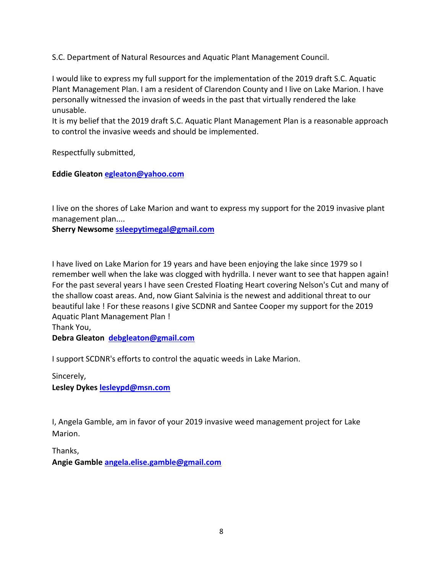S.C. Department of Natural Resources and Aquatic Plant Management Council.

I would like to express my full support for the implementation of the 2019 draft S.C. Aquatic Plant Management Plan. I am a resident of Clarendon County and I live on Lake Marion. I have personally witnessed the invasion of weeds in the past that virtually rendered the lake unusable.

It is my belief that the 2019 draft S.C. Aquatic Plant Management Plan is a reasonable approach to control the invasive weeds and should be implemented.

Respectfully submitted,

## **Eddie Gleaton [egleaton@yahoo.com](mailto:egleaton@yahoo.com)**

I live on the shores of Lake Marion and want to express my support for the 2019 invasive plant management plan....

**Sherry Newsom[e ssleepytimegal@gmail.com](mailto:ssleepytimegal@gmail.com)**

I have lived on Lake Marion for 19 years and have been enjoying the lake since 1979 so I remember well when the lake was clogged with hydrilla. I never want to see that happen again! For the past several years I have seen Crested Floating Heart covering Nelson's Cut and many of the shallow coast areas. And, now Giant Salvinia is the newest and additional threat to our beautiful lake ! For these reasons I give SCDNR and Santee Cooper my support for the 2019 Aquatic Plant Management Plan !

Thank You,

**Debra Gleaton [debgleaton@gmail.com](mailto:debgleaton@gmail.com)**

I support SCDNR's efforts to control the aquatic weeds in Lake Marion.

Sincerely, **Lesley Dykes [lesleypd@msn.com](mailto:lesleypd@msn.com)**

I, Angela Gamble, am in favor of your 2019 invasive weed management project for Lake Marion.

Thanks, **Angie Gamble [angela.elise.gamble@gmail.com](mailto:angela.elise.gamble@gmail.com)**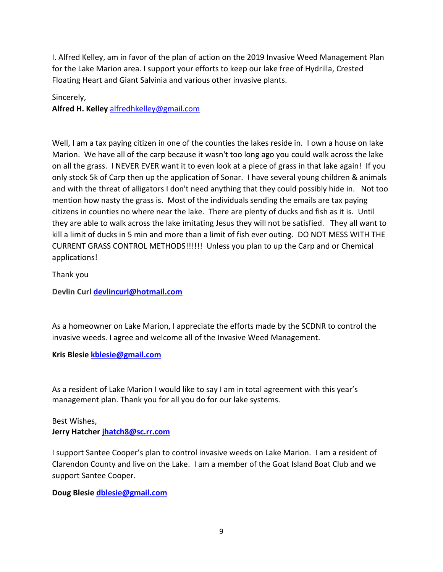I. Alfred Kelley, am in favor of the plan of action on the 2019 Invasive Weed Management Plan for the Lake Marion area. I support your efforts to keep our lake free of Hydrilla, Crested Floating Heart and Giant Salvinia and various other invasive plants.

Sincerely,

**Alfred H. Kelley** [alfredhkelley@gmail.com](mailto:alfredhkelley@gmail.com)

Well, I am a tax paying citizen in one of the counties the lakes reside in. I own a house on lake Marion. We have all of the carp because it wasn't too long ago you could walk across the lake on all the grass. I NEVER EVER want it to even look at a piece of grass in that lake again! If you only stock 5k of Carp then up the application of Sonar. I have several young children & animals and with the threat of alligators I don't need anything that they could possibly hide in. Not too mention how nasty the grass is. Most of the individuals sending the emails are tax paying citizens in counties no where near the lake. There are plenty of ducks and fish as it is. Until they are able to walk across the lake imitating Jesus they will not be satisfied. They all want to kill a limit of ducks in 5 min and more than a limit of fish ever outing. DO NOT MESS WITH THE CURRENT GRASS CONTROL METHODS!!!!!! Unless you plan to up the Carp and or Chemical applications!

Thank you

**Devlin Curl [devlincurl@hotmail.com](mailto:devlincurl@hotmail.com)**

As a homeowner on Lake Marion, I appreciate the efforts made by the SCDNR to control the invasive weeds. I agree and welcome all of the Invasive Weed Management.

## **Kris Blesie [kblesie@gmail.com](mailto:kblesie@gmail.com)**

As a resident of Lake Marion I would like to say I am in total agreement with this year's management plan. Thank you for all you do for our lake systems.

Best Wishes, **Jerry Hatcher [jhatch8@sc.rr.com](mailto:jhatch8@sc.rr.com)**

I support Santee Cooper's plan to control invasive weeds on Lake Marion. I am a resident of Clarendon County and live on the Lake. I am a member of the Goat Island Boat Club and we support Santee Cooper.

**Doug Blesie [dblesie@gmail.com](mailto:dblesie@gmail.com)**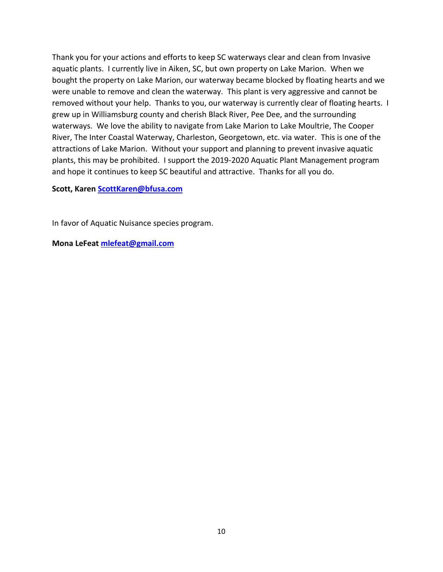Thank you for your actions and efforts to keep SC waterways clear and clean from Invasive aquatic plants. I currently live in Aiken, SC, but own property on Lake Marion. When we bought the property on Lake Marion, our waterway became blocked by floating hearts and we were unable to remove and clean the waterway. This plant is very aggressive and cannot be removed without your help. Thanks to you, our waterway is currently clear of floating hearts. I grew up in Williamsburg county and cherish Black River, Pee Dee, and the surrounding waterways. We love the ability to navigate from Lake Marion to Lake Moultrie, The Cooper River, The Inter Coastal Waterway, Charleston, Georgetown, etc. via water. This is one of the attractions of Lake Marion. Without your support and planning to prevent invasive aquatic plants, this may be prohibited. I support the 2019-2020 Aquatic Plant Management program and hope it continues to keep SC beautiful and attractive. Thanks for all you do.

**Scott, Karen [ScottKaren@bfusa.com](mailto:ScottKaren@bfusa.com)**

In favor of Aquatic Nuisance species program.

**Mona LeFeat [mlefeat@gmail.com](mailto:mlefeat@gmail.com)**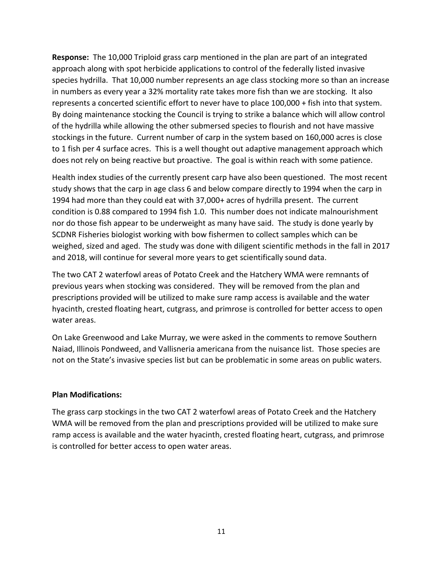**Response:** The 10,000 Triploid grass carp mentioned in the plan are part of an integrated approach along with spot herbicide applications to control of the federally listed invasive species hydrilla. That 10,000 number represents an age class stocking more so than an increase in numbers as every year a 32% mortality rate takes more fish than we are stocking. It also represents a concerted scientific effort to never have to place 100,000 + fish into that system. By doing maintenance stocking the Council is trying to strike a balance which will allow control of the hydrilla while allowing the other submersed species to flourish and not have massive stockings in the future. Current number of carp in the system based on 160,000 acres is close to 1 fish per 4 surface acres. This is a well thought out adaptive management approach which does not rely on being reactive but proactive. The goal is within reach with some patience.

Health index studies of the currently present carp have also been questioned. The most recent study shows that the carp in age class 6 and below compare directly to 1994 when the carp in 1994 had more than they could eat with 37,000+ acres of hydrilla present. The current condition is 0.88 compared to 1994 fish 1.0. This number does not indicate malnourishment nor do those fish appear to be underweight as many have said. The study is done yearly by SCDNR Fisheries biologist working with bow fishermen to collect samples which can be weighed, sized and aged. The study was done with diligent scientific methods in the fall in 2017 and 2018, will continue for several more years to get scientifically sound data.

The two CAT 2 waterfowl areas of Potato Creek and the Hatchery WMA were remnants of previous years when stocking was considered. They will be removed from the plan and prescriptions provided will be utilized to make sure ramp access is available and the water hyacinth, crested floating heart, cutgrass, and primrose is controlled for better access to open water areas.

On Lake Greenwood and Lake Murray, we were asked in the comments to remove Southern Naiad, Illinois Pondweed, and Vallisneria americana from the nuisance list. Those species are not on the State's invasive species list but can be problematic in some areas on public waters.

### **Plan Modifications:**

The grass carp stockings in the two CAT 2 waterfowl areas of Potato Creek and the Hatchery WMA will be removed from the plan and prescriptions provided will be utilized to make sure ramp access is available and the water hyacinth, crested floating heart, cutgrass, and primrose is controlled for better access to open water areas.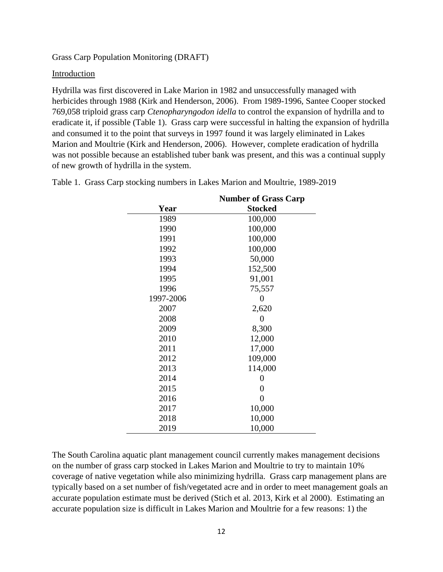Grass Carp Population Monitoring (DRAFT)

### Introduction

Hydrilla was first discovered in Lake Marion in 1982 and unsuccessfully managed with herbicides through 1988 (Kirk and Henderson, 2006). From 1989-1996, Santee Cooper stocked 769,058 triploid grass carp *Ctenopharyngodon idella* to control the expansion of hydrilla and to eradicate it, if possible (Table 1). Grass carp were successful in halting the expansion of hydrilla and consumed it to the point that surveys in 1997 found it was largely eliminated in Lakes Marion and Moultrie (Kirk and Henderson, 2006). However, complete eradication of hydrilla was not possible because an established tuber bank was present, and this was a continual supply of new growth of hydrilla in the system.

|           | <b>Number of Grass Carp</b> |  |
|-----------|-----------------------------|--|
| Year      | <b>Stocked</b>              |  |
| 1989      | 100,000                     |  |
| 1990      | 100,000                     |  |
| 1991      | 100,000                     |  |
| 1992      | 100,000                     |  |
| 1993      | 50,000                      |  |
| 1994      | 152,500                     |  |
| 1995      | 91,001                      |  |
| 1996      | 75,557                      |  |
| 1997-2006 | 0                           |  |
| 2007      | 2,620                       |  |
| 2008      | $\overline{0}$              |  |
| 2009      | 8,300                       |  |
| 2010      | 12,000                      |  |
| 2011      | 17,000                      |  |
| 2012      | 109,000                     |  |
| 2013      | 114,000                     |  |
| 2014      | 0                           |  |
| 2015      | $\pmb{0}$                   |  |
| 2016      | $\overline{0}$              |  |
| 2017      | 10,000                      |  |
| 2018      | 10,000                      |  |
| 2019      | 10,000                      |  |

Table 1. Grass Carp stocking numbers in Lakes Marion and Moultrie, 1989-2019

The South Carolina aquatic plant management council currently makes management decisions on the number of grass carp stocked in Lakes Marion and Moultrie to try to maintain 10% coverage of native vegetation while also minimizing hydrilla. Grass carp management plans are typically based on a set number of fish/vegetated acre and in order to meet management goals an accurate population estimate must be derived (Stich et al. 2013, Kirk et al 2000). Estimating an accurate population size is difficult in Lakes Marion and Moultrie for a few reasons: 1) the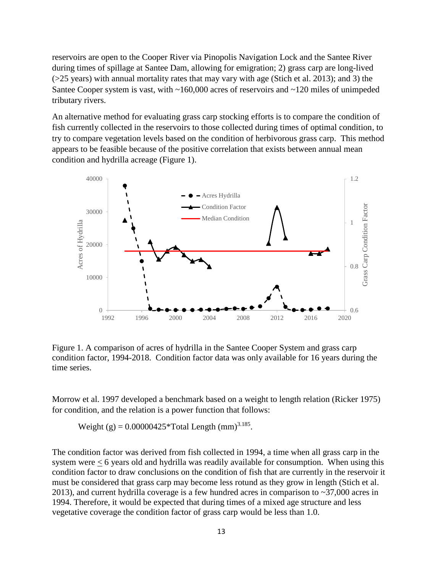reservoirs are open to the Cooper River via Pinopolis Navigation Lock and the Santee River during times of spillage at Santee Dam, allowing for emigration; 2) grass carp are long-lived (>25 years) with annual mortality rates that may vary with age (Stich et al. 2013); and 3) the Santee Cooper system is vast, with ~160,000 acres of reservoirs and ~120 miles of unimpeded tributary rivers.

An alternative method for evaluating grass carp stocking efforts is to compare the condition of fish currently collected in the reservoirs to those collected during times of optimal condition, to try to compare vegetation levels based on the condition of herbivorous grass carp. This method appears to be feasible because of the positive correlation that exists between annual mean condition and hydrilla acreage (Figure 1).



Figure 1. A comparison of acres of hydrilla in the Santee Cooper System and grass carp condition factor, 1994-2018. Condition factor data was only available for 16 years during the time series.

Morrow et al. 1997 developed a benchmark based on a weight to length relation (Ricker 1975) for condition, and the relation is a power function that follows:

Weight (g) = 
$$
0.00000425 \times \text{Total Length (mm)}^{3.185}
$$
.

The condition factor was derived from fish collected in 1994, a time when all grass carp in the system were < 6 years old and hydrilla was readily available for consumption. When using this condition factor to draw conclusions on the condition of fish that are currently in the reservoir it must be considered that grass carp may become less rotund as they grow in length (Stich et al. 2013), and current hydrilla coverage is a few hundred acres in comparison to ~37,000 acres in 1994. Therefore, it would be expected that during times of a mixed age structure and less vegetative coverage the condition factor of grass carp would be less than 1.0.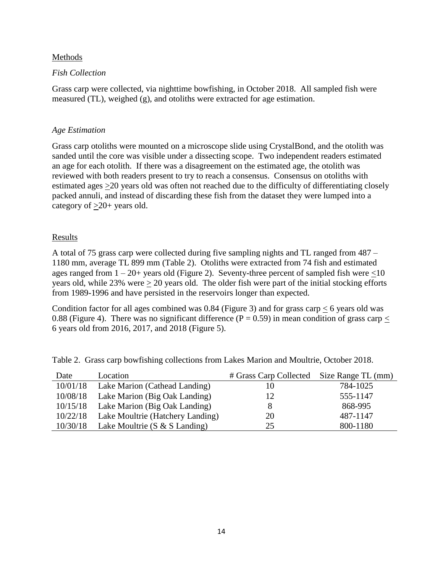### Methods

### *Fish Collection*

Grass carp were collected, via nighttime bowfishing, in October 2018. All sampled fish were measured (TL), weighed (g), and otoliths were extracted for age estimation.

## *Age Estimation*

Grass carp otoliths were mounted on a microscope slide using CrystalBond, and the otolith was sanded until the core was visible under a dissecting scope. Two independent readers estimated an age for each otolith. If there was a disagreement on the estimated age, the otolith was reviewed with both readers present to try to reach a consensus. Consensus on otoliths with estimated ages >20 years old was often not reached due to the difficulty of differentiating closely packed annuli, and instead of discarding these fish from the dataset they were lumped into a category of  $\geq 20+$  years old.

## Results

A total of 75 grass carp were collected during five sampling nights and TL ranged from 487 – 1180 mm, average TL 899 mm (Table 2). Otoliths were extracted from 74 fish and estimated ages ranged from  $1 - 20$ + years old (Figure 2). Seventy-three percent of sampled fish were  $\leq 10$ years old, while 23% were  $\geq$  20 years old. The older fish were part of the initial stocking efforts from 1989-1996 and have persisted in the reservoirs longer than expected.

Condition factor for all ages combined was 0.84 (Figure 3) and for grass carp  $\leq$  6 years old was 0.88 (Figure 4). There was no significant difference ( $P = 0.59$ ) in mean condition of grass carp  $\lt$ 6 years old from 2016, 2017, and 2018 (Figure 5).

| Date     | Location                               | # Grass Carp Collected Size Range TL (mm) |          |
|----------|----------------------------------------|-------------------------------------------|----------|
| 10/01/18 | Lake Marion (Cathead Landing)          | 10                                        | 784-1025 |
| 10/08/18 | Lake Marion (Big Oak Landing)          | 12                                        | 555-1147 |
|          | 10/15/18 Lake Marion (Big Oak Landing) |                                           | 868-995  |
| 10/22/18 | Lake Moultrie (Hatchery Landing)       | 20                                        | 487-1147 |
| 10/30/18 | Lake Moultrie ( $S \& S$ Landing)      | 25                                        | 800-1180 |

Table 2. Grass carp bowfishing collections from Lakes Marion and Moultrie, October 2018.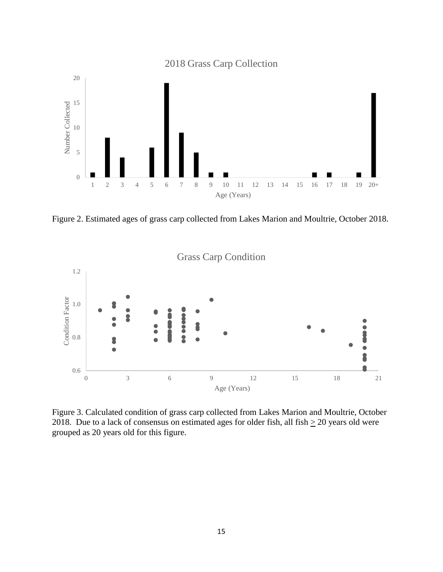

Figure 2. Estimated ages of grass carp collected from Lakes Marion and Moultrie, October 2018.



Figure 3. Calculated condition of grass carp collected from Lakes Marion and Moultrie, October 2018. Due to a lack of consensus on estimated ages for older fish, all fish  $\geq$  20 years old were grouped as 20 years old for this figure.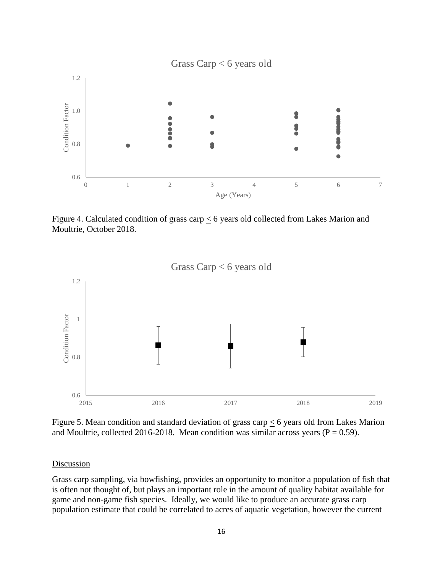

Figure 4. Calculated condition of grass carp  $\leq$  6 years old collected from Lakes Marion and Moultrie, October 2018.



Figure 5. Mean condition and standard deviation of grass carp  $\leq$  6 years old from Lakes Marion and Moultrie, collected 2016-2018. Mean condition was similar across years ( $P = 0.59$ ).

#### Discussion

Grass carp sampling, via bowfishing, provides an opportunity to monitor a population of fish that is often not thought of, but plays an important role in the amount of quality habitat available for game and non-game fish species. Ideally, we would like to produce an accurate grass carp population estimate that could be correlated to acres of aquatic vegetation, however the current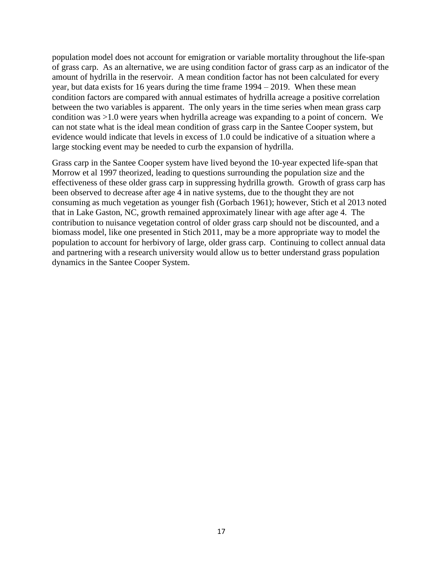population model does not account for emigration or variable mortality throughout the life-span of grass carp. As an alternative, we are using condition factor of grass carp as an indicator of the amount of hydrilla in the reservoir. A mean condition factor has not been calculated for every year, but data exists for 16 years during the time frame 1994 – 2019. When these mean condition factors are compared with annual estimates of hydrilla acreage a positive correlation between the two variables is apparent. The only years in the time series when mean grass carp condition was >1.0 were years when hydrilla acreage was expanding to a point of concern. We can not state what is the ideal mean condition of grass carp in the Santee Cooper system, but evidence would indicate that levels in excess of 1.0 could be indicative of a situation where a large stocking event may be needed to curb the expansion of hydrilla.

Grass carp in the Santee Cooper system have lived beyond the 10-year expected life-span that Morrow et al 1997 theorized, leading to questions surrounding the population size and the effectiveness of these older grass carp in suppressing hydrilla growth. Growth of grass carp has been observed to decrease after age 4 in native systems, due to the thought they are not consuming as much vegetation as younger fish (Gorbach 1961); however, Stich et al 2013 noted that in Lake Gaston, NC, growth remained approximately linear with age after age 4. The contribution to nuisance vegetation control of older grass carp should not be discounted, and a biomass model, like one presented in Stich 2011, may be a more appropriate way to model the population to account for herbivory of large, older grass carp. Continuing to collect annual data and partnering with a research university would allow us to better understand grass population dynamics in the Santee Cooper System.